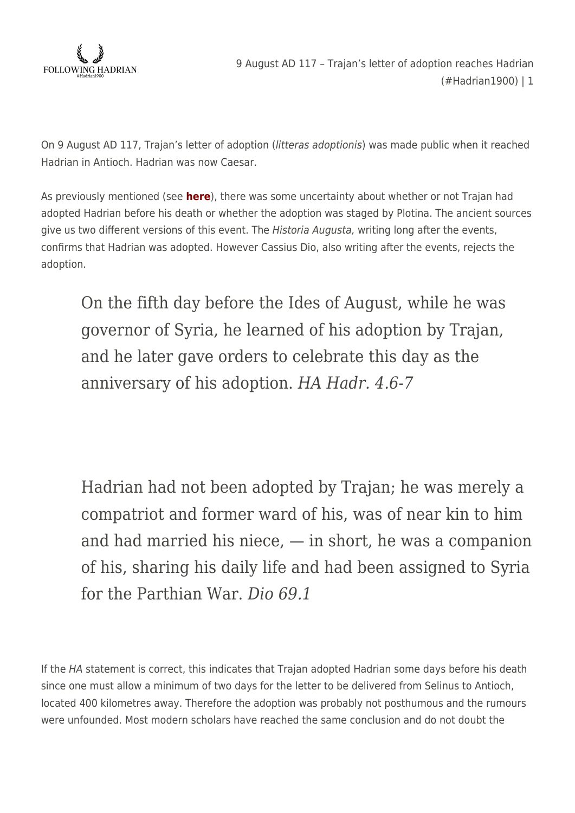

On 9 August AD 117, Trajan's letter of adoption (litteras adoptionis) was made public when it reached Hadrian in Antioch. Hadrian was now Caesar.

As previously mentioned (see **[here](https://followinghadrian.com/2017/08/08/8th-august-117-ad-trajan-dies-at-selinus-hadrian1900/)**), there was some uncertainty about whether or not Trajan had adopted Hadrian before his death or whether the adoption was staged by Plotina. The ancient sources give us two different versions of this event. The *Historia Augusta*, writing long after the events, confirms that Hadrian was adopted. However Cassius Dio, also writing after the events, rejects the adoption.

On the fifth day before the Ides of August, while he was governor of Syria, he learned of his adoption by Trajan, and he later gave orders to celebrate this day as the anniversary of his adoption. *HA Hadr. 4.6-7*

Hadrian had not been adopted by Trajan; he was merely a compatriot and former ward of his, was of near kin to him and had married his niece, — in short, he was a companion of his, sharing his daily life and had been assigned to Syria for the Parthian War. *Dio 69.1*

If the HA statement is correct, this indicates that Trajan adopted Hadrian some days before his death since one must allow a minimum of two days for the letter to be delivered from Selinus to Antioch, located 400 kilometres away. Therefore the adoption was probably not posthumous and the rumours were unfounded. Most modern scholars have reached the same conclusion and do not doubt the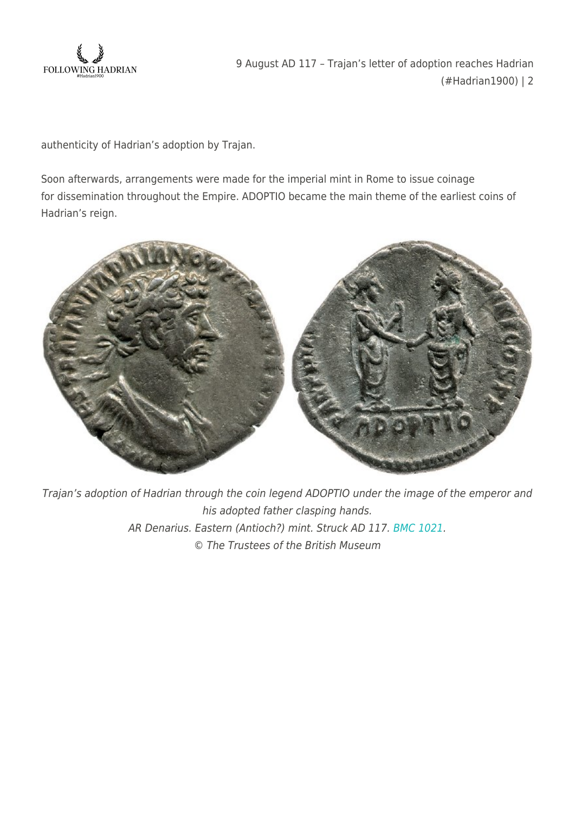

authenticity of Hadrian's adoption by Trajan.

Soon afterwards, arrangements were made for the imperial mint in Rome to issue coinage for dissemination throughout the Empire. ADOPTIO became the main theme of the earliest coins of Hadrian's reign.



Trajan's adoption of Hadrian through the coin legend ADOPTIO under the image of the emperor and his adopted father clasping hands. AR Denarius. Eastern (Antioch?) mint. Struck AD 117. [BMC 1021](http://www.britishmuseum.org/research/collection_online/collection_object_details.aspx?objectId=1210796&partId=1&searchText=hadrian+antioch&page=1). © The Trustees of the British Museum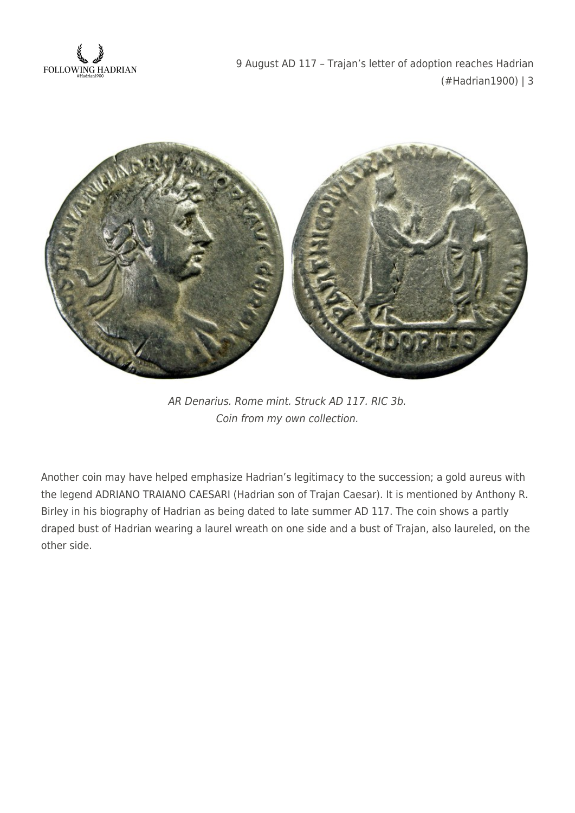



AR Denarius. Rome mint. Struck AD 117. RIC 3b. Coin from my own collection.

Another coin may have helped emphasize Hadrian's legitimacy to the succession; a gold aureus with the legend ADRIANO TRAIANO CAESARI (Hadrian son of Trajan Caesar). It is mentioned by Anthony R. Birley in his biography of Hadrian as being dated to late summer AD 117. The coin shows a partly draped bust of Hadrian wearing a laurel wreath on one side and a bust of Trajan, also laureled, on the other side.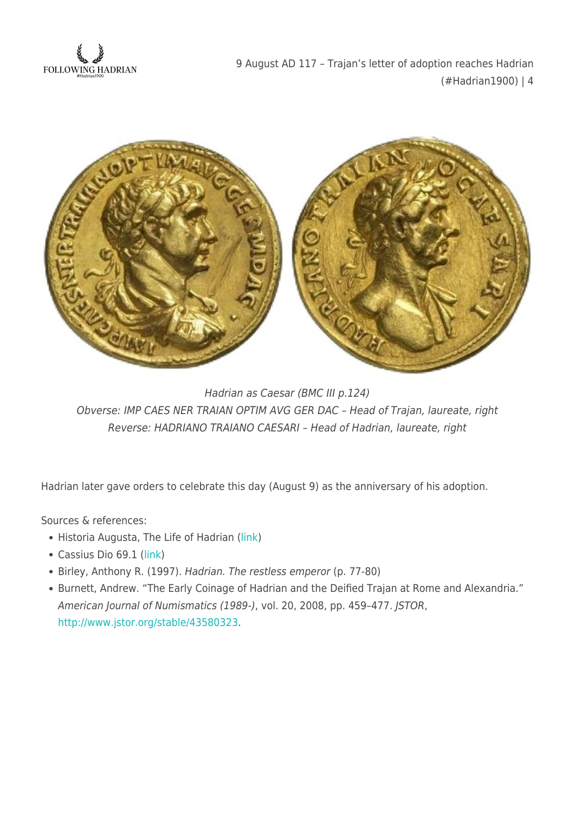



Hadrian as Caesar (BMC III p.124) Obverse: IMP CAES NER TRAIAN OPTIM AVG GER DAC – Head of Trajan, laureate, right Reverse: HADRIANO TRAIANO CAESARI – Head of Hadrian, laureate, right

Hadrian later gave orders to celebrate this day (August 9) as the anniversary of his adoption.

Sources & references:

- Historia Augusta, The Life of Hadrian ([link](http://penelope.uchicago.edu/Thayer/e/roman/texts/historia_augusta/hadrian/1*.html))
- Cassius Dio 69.1 [\(link\)](http://penelope.uchicago.edu/Thayer/e/roman/texts/cassius_dio/69*.html)
- Birley, Anthony R. (1997). Hadrian. The restless emperor (p. 77-80)
- Burnett, Andrew. "The Early Coinage of Hadrian and the Deified Trajan at Rome and Alexandria." American Journal of Numismatics (1989-), vol. 20, 2008, pp. 459–477. JSTOR, [http://www.jstor.org/stable/43580323.](http://www.jstor.org/stable/43580323)